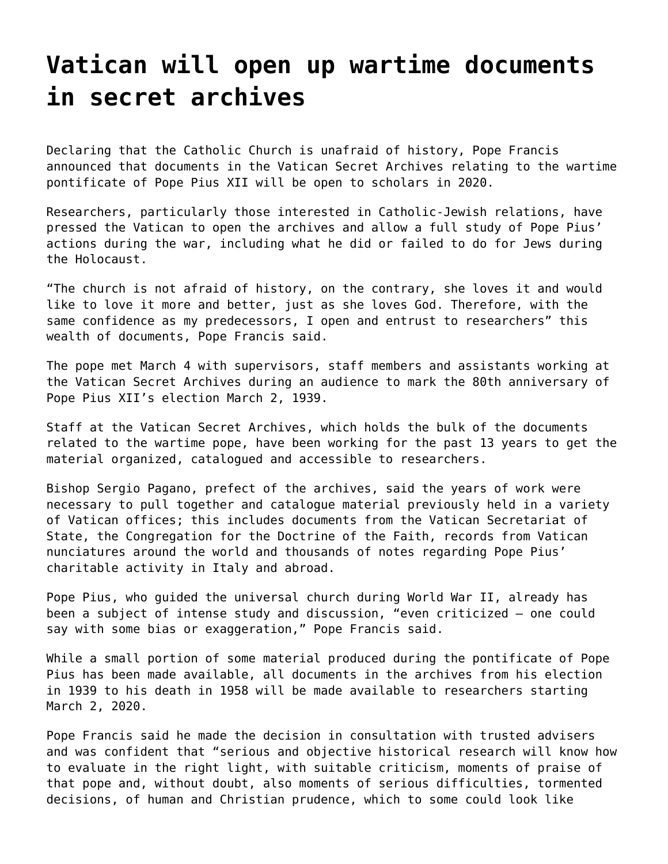## **[Vatican will open up wartime documents](https://grandinmedia.ca/vatican-will-open-wartime-documents-secret-archives/) [in secret archives](https://grandinmedia.ca/vatican-will-open-wartime-documents-secret-archives/)**

Declaring that the Catholic Church is unafraid of history, Pope Francis announced that documents in the Vatican Secret Archives relating to the wartime pontificate of Pope Pius XII will be open to scholars in 2020.

Researchers, particularly those interested in Catholic-Jewish relations, have pressed the Vatican to open the archives and allow a full study of Pope Pius' actions during the war, including what he did or failed to do for Jews during the Holocaust.

"The church is not afraid of history, on the contrary, she loves it and would like to love it more and better, just as she loves God. Therefore, with the same confidence as my predecessors, I open and entrust to researchers" this wealth of documents, Pope Francis said.

The pope met March 4 with supervisors, staff members and assistants working at the Vatican Secret Archives during an audience to mark the 80th anniversary of Pope Pius XII's election March 2, 1939.

Staff at the Vatican Secret Archives, which holds the bulk of the documents related to the wartime pope, have been working for the past 13 years to get the material organized, catalogued and accessible to researchers.

Bishop Sergio Pagano, prefect of the archives, said the years of work were necessary to pull together and catalogue material previously held in a variety of Vatican offices; this includes documents from the Vatican Secretariat of State, the Congregation for the Doctrine of the Faith, records from Vatican nunciatures around the world and thousands of notes regarding Pope Pius' charitable activity in Italy and abroad.

Pope Pius, who guided the universal church during World War II, already has been a subject of intense study and discussion, "even criticized — one could say with some bias or exaggeration," Pope Francis said.

While a small portion of some material produced during the pontificate of Pope Pius has been made available, all documents in the archives from his election in 1939 to his death in 1958 will be made available to researchers starting March 2, 2020.

Pope Francis said he made the decision in consultation with trusted advisers and was confident that "serious and objective historical research will know how to evaluate in the right light, with suitable criticism, moments of praise of that pope and, without doubt, also moments of serious difficulties, tormented decisions, of human and Christian prudence, which to some could look like